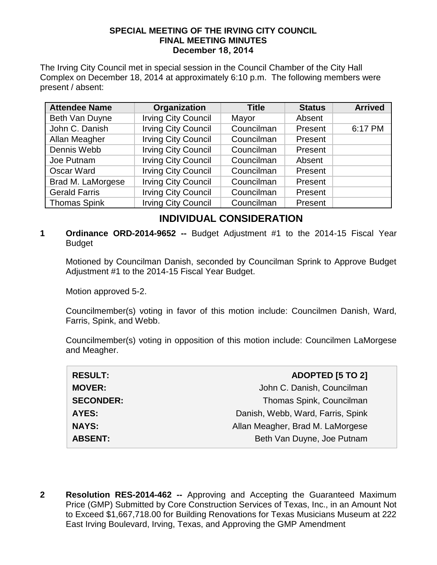## **SPECIAL MEETING OF THE IRVING CITY COUNCIL FINAL MEETING MINUTES December 18, 2014**

The Irving City Council met in special session in the Council Chamber of the City Hall Complex on December 18, 2014 at approximately 6:10 p.m. The following members were present / absent:

| <b>Attendee Name</b> | Organization               | <b>Title</b> | <b>Status</b> | <b>Arrived</b> |
|----------------------|----------------------------|--------------|---------------|----------------|
| Beth Van Duyne       | <b>Irving City Council</b> | Mayor        | Absent        |                |
| John C. Danish       | <b>Irving City Council</b> | Councilman   | Present       | 6:17 PM        |
| Allan Meagher        | <b>Irving City Council</b> | Councilman   | Present       |                |
| Dennis Webb          | <b>Irving City Council</b> | Councilman   | Present       |                |
| Joe Putnam           | <b>Irving City Council</b> | Councilman   | Absent        |                |
| Oscar Ward           | <b>Irving City Council</b> | Councilman   | Present       |                |
| Brad M. LaMorgese    | <b>Irving City Council</b> | Councilman   | Present       |                |
| <b>Gerald Farris</b> | <b>Irving City Council</b> | Councilman   | Present       |                |
| <b>Thomas Spink</b>  | <b>Irving City Council</b> | Councilman   | Present       |                |

## **INDIVIDUAL CONSIDERATION**

**1 Ordinance ORD-2014-9652 --** Budget Adjustment #1 to the 2014-15 Fiscal Year Budget

Motioned by Councilman Danish, seconded by Councilman Sprink to Approve Budget Adjustment #1 to the 2014-15 Fiscal Year Budget.

Motion approved 5-2.

Councilmember(s) voting in favor of this motion include: Councilmen Danish, Ward, Farris, Spink, and Webb.

Councilmember(s) voting in opposition of this motion include: Councilmen LaMorgese and Meagher.

| <b>RESULT:</b>   | <b>ADOPTED [5 TO 2]</b>           |
|------------------|-----------------------------------|
| <b>MOVER:</b>    | John C. Danish, Councilman        |
| <b>SECONDER:</b> | Thomas Spink, Councilman          |
| AYES:            | Danish, Webb, Ward, Farris, Spink |
| <b>NAYS:</b>     | Allan Meagher, Brad M. LaMorgese  |
| <b>ABSENT:</b>   | Beth Van Duyne, Joe Putnam        |

**2 Resolution RES-2014-462 --** Approving and Accepting the Guaranteed Maximum Price (GMP) Submitted by Core Construction Services of Texas, Inc., in an Amount Not to Exceed \$1,667,718.00 for Building Renovations for Texas Musicians Museum at 222 East Irving Boulevard, Irving, Texas, and Approving the GMP Amendment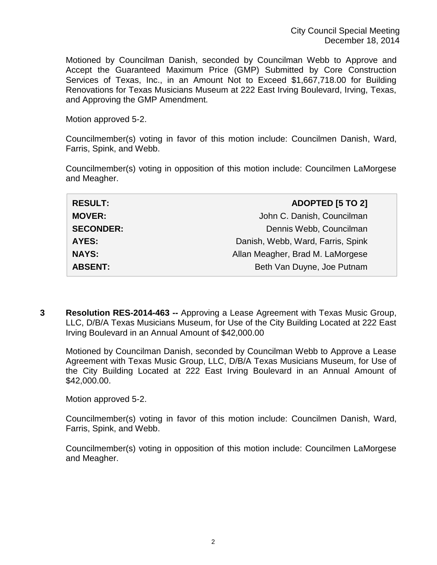Motioned by Councilman Danish, seconded by Councilman Webb to Approve and Accept the Guaranteed Maximum Price (GMP) Submitted by Core Construction Services of Texas, Inc., in an Amount Not to Exceed \$1,667,718.00 for Building Renovations for Texas Musicians Museum at 222 East Irving Boulevard, Irving, Texas, and Approving the GMP Amendment.

Motion approved 5-2.

Councilmember(s) voting in favor of this motion include: Councilmen Danish, Ward, Farris, Spink, and Webb.

Councilmember(s) voting in opposition of this motion include: Councilmen LaMorgese and Meagher.

**3 Resolution RES-2014-463 --** Approving a Lease Agreement with Texas Music Group, LLC, D/B/A Texas Musicians Museum, for Use of the City Building Located at 222 East Irving Boulevard in an Annual Amount of \$42,000.00

Motioned by Councilman Danish, seconded by Councilman Webb to Approve a Lease Agreement with Texas Music Group, LLC, D/B/A Texas Musicians Museum, for Use of the City Building Located at 222 East Irving Boulevard in an Annual Amount of \$42,000.00.

Motion approved 5-2.

Councilmember(s) voting in favor of this motion include: Councilmen Danish, Ward, Farris, Spink, and Webb.

Councilmember(s) voting in opposition of this motion include: Councilmen LaMorgese and Meagher.